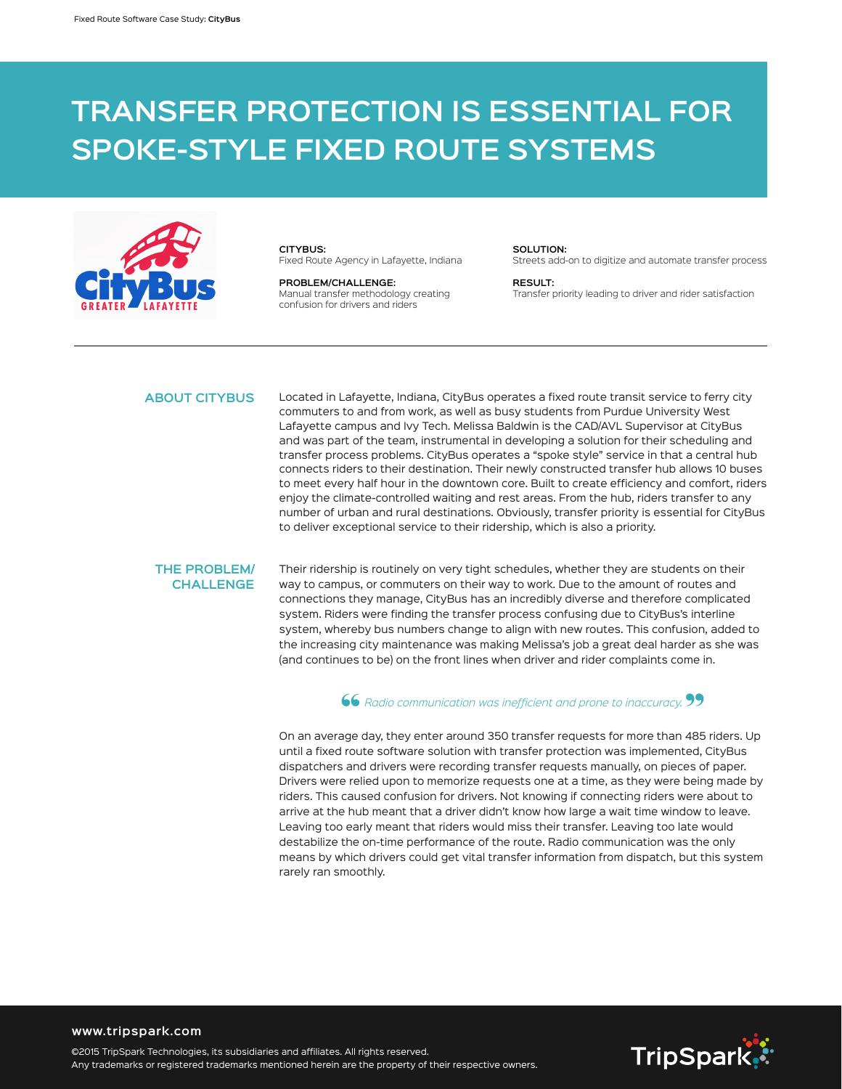# **TRANSFER PROTECTION IS ESSENTIAL FOR SPOKE-STYLE FIXED ROUTE SYSTEMS**



**CITYBUS:** Fixed Route Agency in Lafayette, Indiana

**PROBLEM/CHALLENGE:**  Manual transfer methodology creating confusion for drivers and riders

## **SOLUTION:**

Streets add-on to digitize and automate transfer process

**RESULT:**  Transfer priority leading to driver and rider satisfaction

### **ABOUT CITYBUS**

Located in Lafayette, Indiana, CityBus operates a fixed route transit service to ferry city commuters to and from work, as well as busy students from Purdue University West Lafayette campus and Ivy Tech. Melissa Baldwin is the CAD/AVL Supervisor at CityBus and was part of the team, instrumental in developing a solution for their scheduling and transfer process problems. CityBus operates a "spoke style" service in that a central hub connects riders to their destination. Their newly constructed transfer hub allows 10 buses to meet every half hour in the downtown core. Built to create efficiency and comfort, riders enjoy the climate-controlled waiting and rest areas. From the hub, riders transfer to any number of urban and rural destinations. Obviously, transfer priority is essential for CityBus to deliver exceptional service to their ridership, which is also a priority.

#### **THE PROBLEM/ CHALLENGE**

Their ridership is routinely on very tight schedules, whether they are students on their way to campus, or commuters on their way to work. Due to the amount of routes and connections they manage, CityBus has an incredibly diverse and therefore complicated system. Riders were finding the transfer process confusing due to CityBus's interline system, whereby bus numbers change to align with new routes. This confusion, added to the increasing city maintenance was making Melissa's job a great deal harder as she was (and continues to be) on the front lines when driver and rider complaints come in.

#### **66** Radio communication was inefficient and prone to inaccuracy. **99**

On an average day, they enter around 350 transfer requests for more than 485 riders. Up until a fixed route software solution with transfer protection was implemented, CityBus dispatchers and drivers were recording transfer requests manually, on pieces of paper. Drivers were relied upon to memorize requests one at a time, as they were being made by riders. This caused confusion for drivers. Not knowing if connecting riders were about to arrive at the hub meant that a driver didn't know how large a wait time window to leave. Leaving too early meant that riders would miss their transfer. Leaving too late would destabilize the on-time performance of the route. Radio communication was the only means by which drivers could get vital transfer information from dispatch, but this system rarely ran smoothly.



#### **www.tripspark.com**

©2015 TripSpark Technologies, its subsidiaries and affiliates. All rights reserved. Any trademarks or registered trademarks mentioned herein are the property of their respective owners.